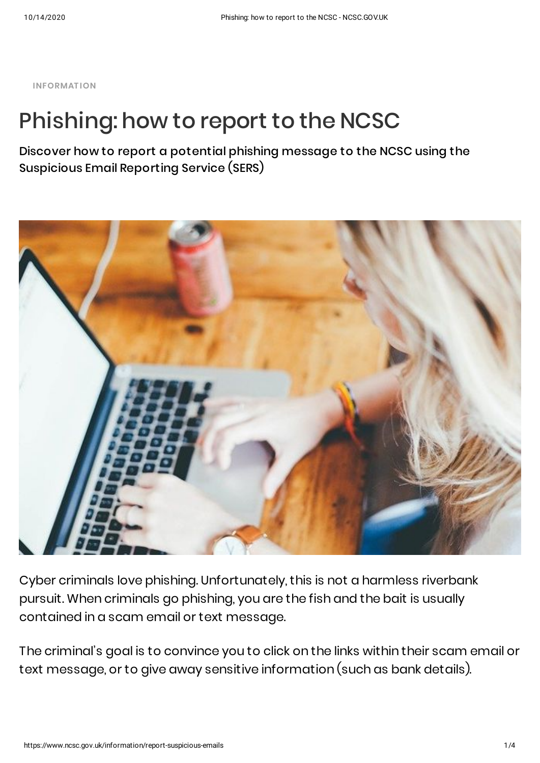**INFORMAT ION**

# Phishing: how to report to the NCSC

Discover how to report a potential phishing message to the NCSC using the Suspicious Email Reporting Service (SERS)



Cyber criminals love phishing. Unfortunately, this is not a harmless riverbank pursuit. When criminals go phishing, you are the fish and the bait is usually contained in a scam email or text message.

The criminal's goal is to convince you to click on the links within their scam email or text message, or to give away sensitive information (such as bank details).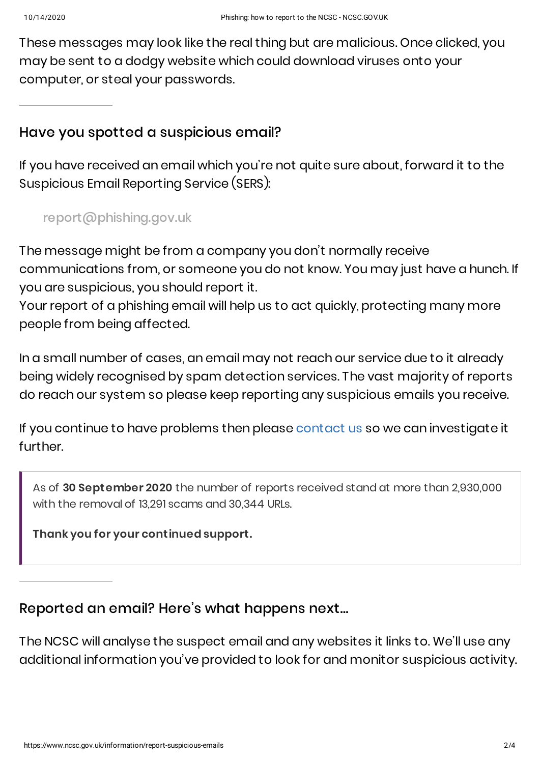These messages may look like the real thing but are malicious. Once clicked, you may be sent to a dodgy website which could download viruses onto your computer, or steal your passwords.

## Have you spotted a suspicious email?

If you have received an email which you're not quite sure about, forward it to the Suspicious Email Reporting Service (SERS):

[report@phishing.gov.uk](mailto:report@phishing.gov.uk)

The message might be from a company you don't normally receive communications from, or someone you do not know. You may just have a hunch. If you are suspicious, you should report it.

Your report of a phishing email will help us to act quickly, protecting many more people from being affected.

In a small number of cases, an email may not reach our service due to it already being widely recognised by spam detection services. The vast majority of reports do reach our system so please keep reporting any suspicious emails you receive.

If you continue to have problems then please [contact](https://www.ncsc.gov.uk/section/about-this-website/contact-us) us so we can investigate it further.

As of **30 September 2020** the number of reports received stand at more than 2,930,000 with the removal of 13,291 scams and 30,344 URLs.

**Thank you for your continued support.**

# Reported an email? Here's what happens next…

The NCSC will analyse the suspect email and any websites it links to. We'll use any additional information you've provided to look for and monitor suspicious activity.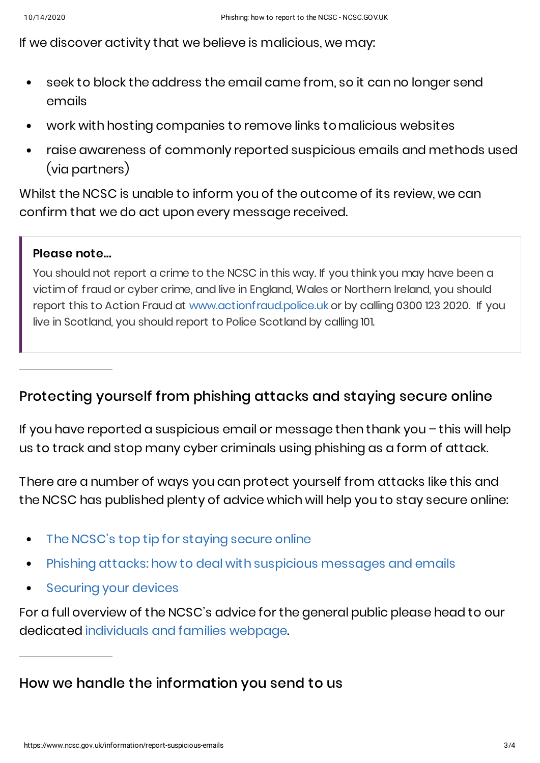If we discover activity that we believe is malicious, we may:

- seek to block the address the email came from, so it can no longer send emails
- work with hosting companies to remove links tomalicious websites  $\bullet$
- raise awareness of commonly reported suspicious emails and methods used (via partners)

Whilst the NCSC is unable to inform you of the outcome of its review, we can confirm that we do act upon every message received.

## **Please note...**

You should not report a crime to the NCSC in this way. If you think you may have been a victimof fraud or cyber crime, and live in England, Wales or Northern Ireland, you should report this to Action Fraud at [www.actionfraud.police.uk](http://www.actionfraud.police.uk/) or by calling 0300 123 2020. If you live in Scotland, you should report to Police Scotland by calling 101.

## Protecting yourself from phishing attacks and staying secure online

If you have reported a suspicious email or message then thank you – this will help us to track and stop many cyber criminals using phishing as a form of attack.

There are a number of ways you can protect yourself from attacks like this and the NCSC has published plenty of advice which will help you to stay secure online:

- The NCSC's top tip for [staying](https://www.ncsc.gov.uk/collection/top-tips-for-staying-secure-online) secure online  $\bullet$
- Phishing attacks: how to deal with [suspicious](https://www.ncsc.gov.uk/guidance/suspicious-email-actions) messages and emails  $\bullet$
- [Securing](https://www.ncsc.gov.uk/guidance/securing-your-devices) your devices  $\bullet$

For a full overview of the NCSC's advice for the general public please head to our dedicated [individuals](https://www.ncsc.gov.uk/section/information-for/individuals-families) and families webpage.

How we handle the information you send to us